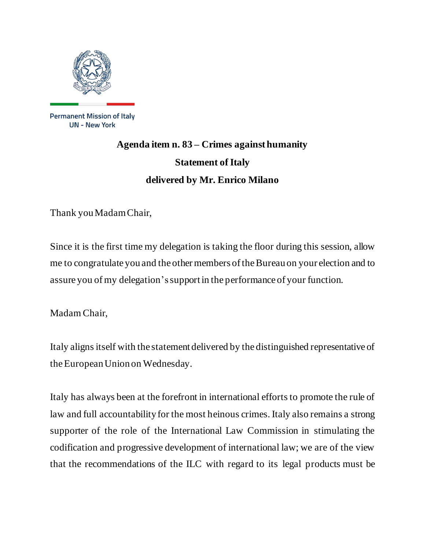

**Permanent Mission of Italy UN - New York** 

## **Agenda item n. 83 – Crimes against humanity Statement of Italy delivered by Mr. Enrico Milano**

Thank you Madam Chair,

Since it is the first time my delegation is taking the floor during this session, allow me to congratulate you and the other members of the Bureau on your election and to assure you of my delegation'ssupport in the performance of your function.

Madam Chair,

Italy aligns itself with the statement delivered by the distinguished representative of the European Union on Wednesday.

Italy has always been at the forefront in international efforts to promote the rule of law and full accountability for the most heinous crimes. Italy also remains a strong supporter of the role of the International Law Commission in stimulating the codification and progressive development of international law; we are of the view that the recommendations of the ILC with regard to its legal products must be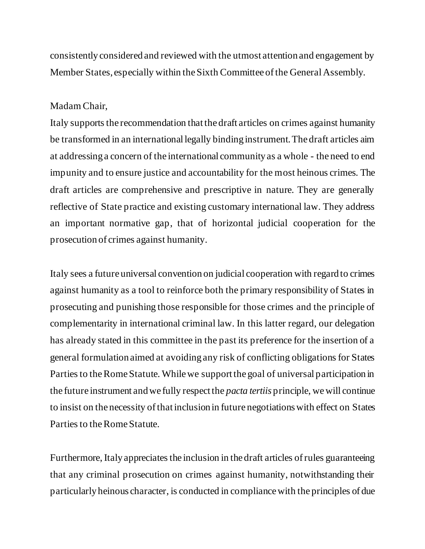consistently considered and reviewed with the utmost attention and engagement by Member States, especially within the Sixth Committee of the General Assembly.

## Madam Chair,

Italy supports the recommendation that the draft articles on crimes against humanity be transformed in an international legally binding instrument. The draft articles aim at addressing a concern of the international community as a whole - the need to end impunity and to ensure justice and accountability for the most heinous crimes. The draft articles are comprehensive and prescriptive in nature. They are generally reflective of State practice and existing customary international law. They address an important normative gap, that of horizontal judicial cooperation for the prosecution of crimes against humanity.

Italy sees a future universal convention on judicial cooperation with regard to crimes against humanity as a tool to reinforce both the primary responsibility of States in prosecuting and punishing those responsible for those crimes and the principle of complementarity in international criminal law. In this latter regard, our delegation has already stated in this committee in the past its preference for the insertion of a general formulation aimed at avoiding any risk of conflicting obligations for States Parties to the Rome Statute. While we support the goal of universal participation in the future instrument and we fully respect the *pacta tertiis* principle, we will continue to insist on the necessity of that inclusion in future negotiations with effect on States Parties to the Rome Statute.

Furthermore, Italy appreciates the inclusion in the draft articles of rules guaranteeing that any criminal prosecution on crimes against humanity, notwithstanding their particularly heinous character, is conducted in compliance with the principles of due